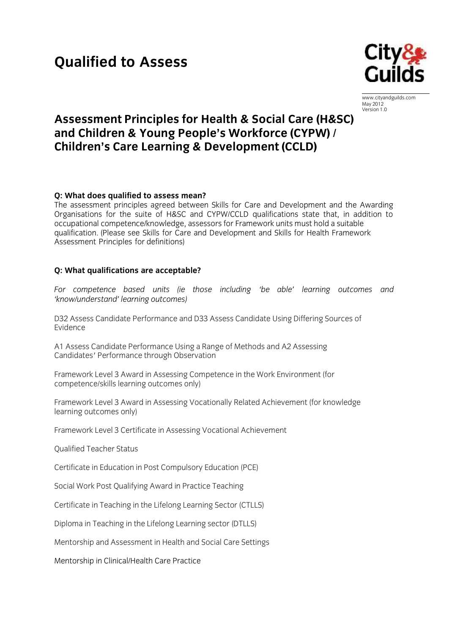## **Qualified to Assess**



www.citvandguilds.com www.city<br>May 2012 Version 1.0

## **Assessment Principles for Health & Social Care (H&SC) Children's Care Learning & Development (CCLD) Children's Care Learning & Development (CCLD)**

**Q: What does qualified to assess mean?** Organisations for the suite of H&SC and CYPW/CCLD qualifications state that, in addition to occupational competence/knowledge, assessors for Framework units must hold a suitable qualification. (Please see Skills for Care and Development and Skills for Health Framework qualification. (Please see Skills for Care and Skills for Care and Development and Skills for Health Framework Assessment Principles for definitions)

## **Q: What qualifications are acceptable?**

*For competence based units (ie those including 'be able' learning outcomes and 'know/understand' learning outcomes)*

D32 Assess Candidate Performance and D33 Assess Candidate Using Differing Sources of Evidence

Candidates' Performance through Observation

Framework Level 3 Award in Assessing Competence in the Work Environment (for competence/skills learning outcomes only)

Framework Level 3 Award in Assessing Vocationally Related Achievement (for knowledge  $\epsilon$ 

Framework Level 3 Certificate in Assessing Vocational Achievement

 $\sum_{i=1}^{n}$ 

Certificate in Education in Post Compulsory Education (PCE)

Social Work Post Qualifying Award in Practice Teaching

Certificate in Teaching in the Lifelong Learning Sector (CTLLS)

 $\mathcal{L}$ 

Mentorship and Assessment in Health and Social Care Settings

Mentorship in Clinical/Health Care Practice